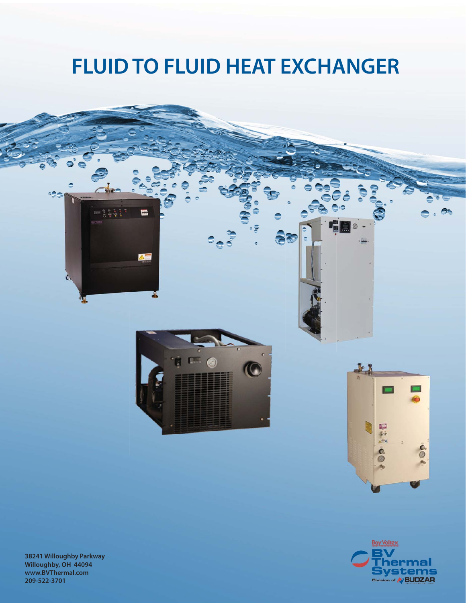### **FLUID TO FLUID HEAT EXCHANGER**



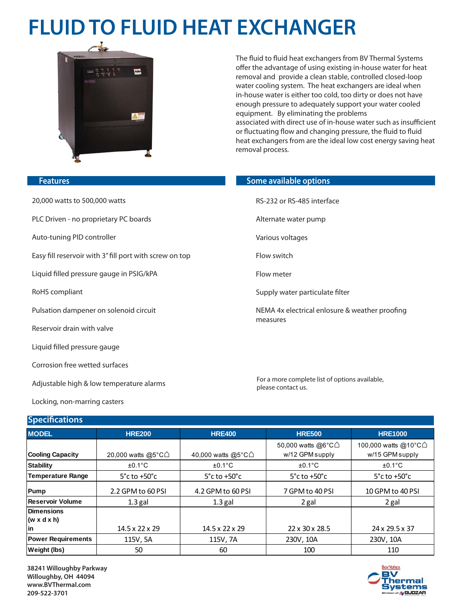# **FLUID TO FLUID HEAT EXCHANGER**



The fluid to fluid heat exchangers from BV Thermal Systems offer the advantage of using existing in-house water for heat removal and provide a clean stable, controlled closed-loop water cooling system. The heat exchangers are ideal when in-house water is either too cold, too dirty or does not have enough pressure to adequately support your water cooled equipment. By eliminating the problems associated with direct use of in-house water such as insufficient or fluctuating flow and changing pressure, the fluid to fluid heat exchangers from are the ideal low cost energy saving heat removal process.

#### **Features**

20,000 watts to 500,000 watts

- PLC Driven no proprietary PC boards
- Auto-tuning PID controller
- Easy fill reservoir with 3" fill port with screw on top

Liquid filled pressure gauge in PSIG/kPA

RoHS compliant

- Pulsation dampener on solenoid circuit
- Reservoir drain with valve
- Liquid filled pressure gauge

Corrosion free wetted surfaces

Adjustable high & low temperature alarms

Locking, non-marring casters

#### **Specifications**

### **MODEL HRE200 HRE400 HRE500 HRE1000 Cooling Capacity** | 20,000 watts @5°C△ | 40,000 watts @5°C△ 50,000 watts @6°C⌂ w/12 GPM supply 100,000 watts @10°C△ w/15 GPM supply **Stability** ±0.1°C ±0.1°C ±0.1°C ±0.1°C **Temperature Range 5°c to +50°c** 5°c to +50°c 5°c to +50°c 5°c to +50°c **Pump** 2.2 GPM to 60 PSI 4.2 GPM to 60 PSI 7 GPM to 40 PSI 10 GPM to 40 PSI **Reservoir Volume** | 1.3 gal | 1.3 gal | 2 gal | 2 gal **Dimensions (w x d x h) in** 14.5 x 22 x 29 14.5 x 22 x 29 22 x 30 x 28.5 24 x 29.5 x 37 **Power Requirements** | 115V, 5A | 115V, 7A | 230V, 10A | 230V, 10A **Weight (lbs) | 50 | 60 | 100 110**

**38241 Willoughby Parkway Willoughby, OH 44094 www.BVThermal.com 209-522-3701**

#### **Some available options**

RS-232 or RS-485 interface

- Alternate water pump
- Various voltages
- Flow switch
- Flow meter
- Supply water particulate filter
- NEMA 4x electrical enlosure & weather proofing measures

For a more complete list of options available, please contact us.

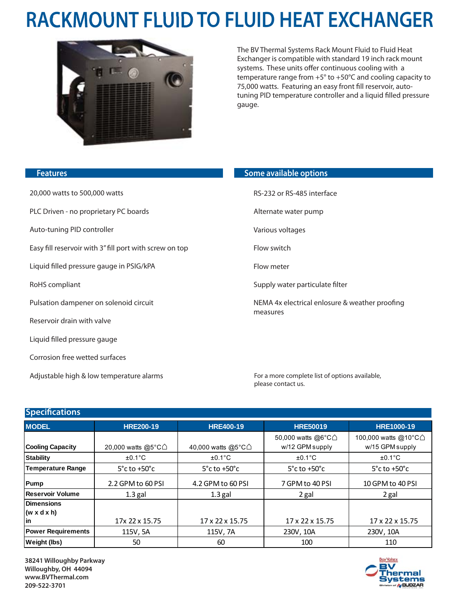# **RACKMOUNT FLUID TO FLUID HEAT EXCHANGER**



The BV Thermal Systems Rack Mount Fluid to Fluid Heat Exchanger is compatible with standard 19 inch rack mount systems. These units offer continuous cooling with a temperature range from +5° to +50°C and cooling capacity to 75,000 watts. Featuring an easy front fill reservoir, autotuning PID temperature controller and a liquid filled pressure gauge.

| <b>Features</b>                                         | Some available options                                     |
|---------------------------------------------------------|------------------------------------------------------------|
| 20,000 watts to 500,000 watts                           | RS-232 or RS-485 interface                                 |
| PLC Driven - no proprietary PC boards                   | Alternate water pump                                       |
| Auto-tuning PID controller                              | Various voltages                                           |
| Easy fill reservoir with 3" fill port with screw on top | Flow switch                                                |
| Liquid filled pressure gauge in PSIG/kPA                | Flow meter                                                 |
| RoHS compliant                                          | Supply water particulate filter                            |
| Pulsation dampener on solenoid circuit                  | NEMA 4x electrical enlosure & weather proofing<br>measures |
| Reservoir drain with valve                              |                                                            |
| Liquid filled pressure gauge                            |                                                            |
| Corrosion free wetted surfaces                          |                                                            |

For a more complete list of options available, please contact us.

### **Specifications**

Adjustable high & low temperature alarms

| <b>MODEL</b>              | <b>HRE200-19</b>                        | <b>HRE400-19</b>                  | <b>HRE50019</b>                   | <b>HRE1000-19</b>                 |
|---------------------------|-----------------------------------------|-----------------------------------|-----------------------------------|-----------------------------------|
|                           |                                         |                                   | 50,000 watts @6°C∆                | 100,000 watts @10°C△              |
| <b>Cooling Capacity</b>   | 20,000 watts @5 $\degree$ C $\triangle$ | 40,000 watts @5°C∆                | w/12 GPM supply                   | w/15 GPM supply                   |
| <b>Stability</b>          | $\pm 0.1$ °C                            | $±0.1^{\circ}C$                   | $±0.1^{\circ}C$                   | $±0.1^{\circ}C$                   |
| <b>Temperature Range</b>  | $5^{\circ}$ c to +50 $^{\circ}$ c       | $5^{\circ}$ c to +50 $^{\circ}$ c | $5^{\circ}$ c to +50 $^{\circ}$ c | $5^{\circ}$ c to +50 $^{\circ}$ c |
| Pump                      | 2.2 GPM to 60 PSI                       | 4.2 GPM to 60 PSI                 | 7 GPM to 40 PSI                   | 10 GPM to 40 PSI                  |
| Reservoir Volume          | $1.3$ gal                               | $1.3$ gal                         | 2 gal                             | 2 gal                             |
| <b>Dimensions</b>         |                                         |                                   |                                   |                                   |
| $(w \times dx h)$         |                                         |                                   |                                   |                                   |
| lin                       | 17x 22 x 15.75                          | 17 x 22 x 15.75                   | 17 x 22 x 15.75                   | 17 x 22 x 15.75                   |
| <b>Power Requirements</b> | 115V, 5A                                | 115V, 7A                          | 230V, 10A                         | 230V, 10A                         |
| <b>Weight (lbs)</b>       | 50                                      | 60                                | 100                               | 110                               |

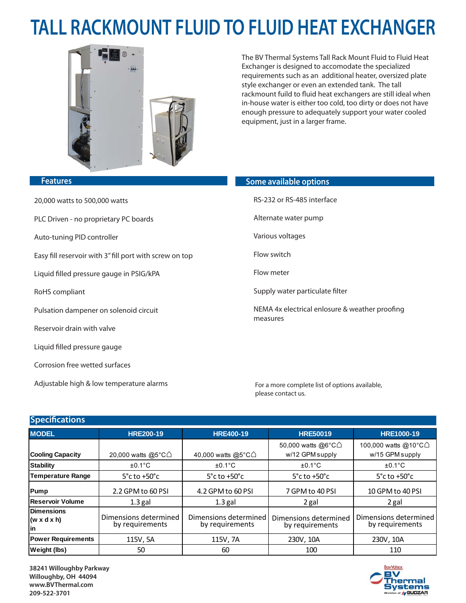# **TALL RACKMOUNT FLUID TO FLUID HEAT EXCHANGER**



The BV Thermal Systems Tall Rack Mount Fluid to Fluid Heat Exchanger is designed to accomodate the specialized requirements such as an additional heater, oversized plate style exchanger or even an extended tank. The tall rackmount fuild to fluid heat exchangers are still ideal when in-house water is either too cold, too dirty or does not have enough pressure to adequately support your water cooled equipment, just in a larger frame.

| <b>Features</b>                                         | Some available options                                     |
|---------------------------------------------------------|------------------------------------------------------------|
| 20,000 watts to 500,000 watts                           | RS-232 or RS-485 interface                                 |
| PLC Driven - no proprietary PC boards                   | Alternate water pump                                       |
| Auto-tuning PID controller                              | Various voltages                                           |
| Easy fill reservoir with 3" fill port with screw on top | Flow switch                                                |
| Liquid filled pressure gauge in PSIG/kPA                | Flow meter                                                 |
| RoHS compliant                                          | Supply water particulate filter                            |
| Pulsation dampener on solenoid circuit                  | NEMA 4x electrical enlosure & weather proofing<br>measures |
| Reservoir drain with valve                              |                                                            |

For a more complete list of options available, please contact us.

### **Specifications**

Γ

Liquid filled pressure gauge

Corrosion free wetted surfaces

Adjustable high & low temperature alarms

| <b>MODEL</b>                                | <b>HRE200-19</b>                         | <b>HRE400-19</b>                         | <b>HRE50019</b>                          | <b>HRE1000-19</b>                        |
|---------------------------------------------|------------------------------------------|------------------------------------------|------------------------------------------|------------------------------------------|
|                                             |                                          |                                          | 50,000 watts @6°C∆                       | 100,000 watts @10°C△                     |
| <b>Cooling Capacity</b>                     | 20,000 watts @5°C∆                       | 40,000 watts @5 $^{\circ}$ C $\triangle$ | w/12 GPM supply                          | w/15 GPM supply                          |
| <b>Stability</b>                            | $\pm 0.1^{\circ}$ C                      | $\pm 0.1^{\circ}$ C                      | $±0.1^{\circ}C$                          | $±0.1^{\circ}C$                          |
| <b>Temperature Range</b>                    | $5^{\circ}$ c to +50 $^{\circ}$ c        | $5^{\circ}$ c to +50 $^{\circ}$ c        | $5^{\circ}$ c to +50 $^{\circ}$ c        | $5^{\circ}$ c to +50 $^{\circ}$ c        |
| Pump                                        | 2.2 GPM to 60 PSI                        | 4.2 GPM to 60 PSI                        | 7 GPM to 40 PSI                          | 10 GPM to 40 PSI                         |
| Reservoir Volume                            | $1.3$ gal                                | $1.3$ gal                                | 2 gal                                    | 2 gal                                    |
| <b>Dimensions</b><br>$(w \times dx)$<br>lin | Dimensions determined<br>by requirements | Dimensions determined<br>by requirements | Dimensions determined<br>by requirements | Dimensions determined<br>by requirements |
| <b>Power Requirements</b>                   | 115V, 5A                                 | 115V, 7A                                 | 230V, 10A                                | 230V, 10A                                |
| <b>Weight (lbs)</b>                         | 50                                       | 60                                       | 100                                      | 110                                      |

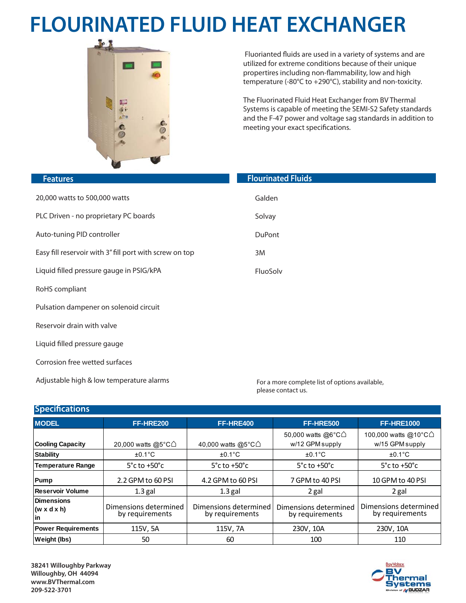# **FLOURINATED FLUID HEAT EXCHANGER**



 Fluorianted fluids are used in a variety of systems and are utilized for extreme conditions because of their unique propertires including non-flammability, low and high temperature (-80°C to +290°C), stability and non-toxicity.

The Fluorinated Fluid Heat Exchanger from BV Thermal Systems is capable of meeting the SEMI-S2 Safety standards and the F-47 power and voltage sag standards in addition to meeting your exact specifications.

| <b>Features</b>                                         | <b>Flourinated Fluids</b> |
|---------------------------------------------------------|---------------------------|
| 20,000 watts to 500,000 watts                           | Galden                    |
| PLC Driven - no proprietary PC boards                   | Solvay                    |
| Auto-tuning PID controller                              | <b>DuPont</b>             |
| Easy fill reservoir with 3" fill port with screw on top | 3M                        |
| Liquid filled pressure gauge in PSIG/kPA                | FluoSolv                  |
| RoHS compliant                                          |                           |
| Pulsation dampener on solenoid circuit                  |                           |
| Reservoir drain with valve                              |                           |
| Liquid filled pressure gauge                            |                           |
| Corrosion free wetted surfaces                          |                           |

Adjustable high & low temperature alarms

For a more complete list of options available, please contact us.

### **Specifications**

| <b>MODEL</b>                                  | FF-HRE200                                | FF-HRE400                                | FF-HRE500                                | <b>FF-HRE1000</b>                        |
|-----------------------------------------------|------------------------------------------|------------------------------------------|------------------------------------------|------------------------------------------|
|                                               |                                          |                                          | 50,000 watts @6 $^{\circ}$ C $\triangle$ | 100,000 watts @10°C∆                     |
| <b>Cooling Capacity</b>                       | 20,000 watts @5 $^{\circ}$ C $\triangle$ | 40,000 watts @5 $^{\circ}$ C $\triangle$ | w/12 GPM supply                          | w/15 GPM supply                          |
| <b>Stability</b>                              | $±0.1^{\circ}C$                          | $±0.1^{\circ}C$                          | $±0.1^{\circ}$ C                         | $±0.1^{\circ}C$                          |
| <b>Temperature Range</b>                      | $5^{\circ}$ c to +50 $^{\circ}$ c        | $5^{\circ}$ c to +50 $^{\circ}$ c        | $5^{\circ}$ c to +50 $^{\circ}$ c        | $5^{\circ}$ c to +50 $^{\circ}$ c        |
| Pump                                          | 2.2 GPM to 60 PSI                        | 4.2 GPM to 60 PSI                        | 7 GPM to 40 PSI                          | 10 GPM to 40 PSI                         |
| Reservoir Volume                              | $1.3$ gal                                | $1.3$ gal                                | 2 gal                                    | 2 gal                                    |
| <b>Dimensions</b><br>$(w \times dx h)$<br>lin | Dimensions determined<br>by requirements | Dimensions determined<br>by requirements | Dimensions determined<br>by requirements | Dimensions determined<br>by requirements |
| <b>Power Requirements</b>                     | 115V, 5A                                 | 115V, 7A                                 | 230V, 10A                                | 230V, 10A                                |
| <b>Weight (lbs)</b>                           | 50                                       | 60                                       | 100                                      | 110                                      |